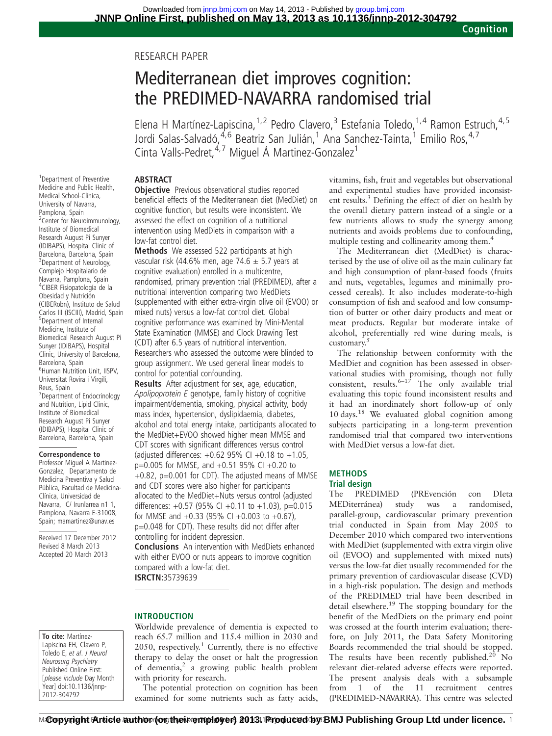# RESEARCH PAPER

# Mediterranean diet improves cognition: the PREDIMED-NAVARRA randomised trial

Elena H Martínez-Lapiscina, <sup>1, 2</sup> Pedro Clavero, <sup>3</sup> Estefania Toledo, <sup>1, 4</sup> Ramon Estruch, <sup>4, 5</sup> Jordi Salas-Salvadó,<sup>4,6</sup> Beatriz San Julián,<sup>1</sup> Ana Sanchez-Tainta,<sup>1</sup> Emilio Ros,<sup>4,7</sup> Cinta Valls-Pedret,  $4.7$  Miguel A Martinez-Gonzalez<sup>1</sup>

# ABSTRACT

1 Department of Preventive Medicine and Public Health, Medical School-Clinica, University of Navarra, Pamplona, Spain

<sup>2</sup> Center for Neuroimmunology, Institute of Biomedical Research August Pi Sunyer (IDIBAPS), Hospital Clinic of Barcelona, Barcelona, Spain <sup>3</sup> Department of Neurology, Complejo Hospitalario de Navarra, Pamplona, Spain 4 CIBER Fisiopatología de la Obesidad y Nutrición (CIBERobn), Instituto de Salud Carlos III (ISCIII), Madrid, Spain 5 Department of Internal Medicine, Institute of Biomedical Research August Pi Sunyer (IDIBAPS), Hospital Clinic, University of Barcelona,

Barcelona, Spain

Reus, Spain

6 Human Nutrition Unit, IISPV, Universitat Rovira i Virgili,

7 Department of Endocrinology and Nutrition, Lipid Clinic, Institute of Biomedical Research August Pi Sunyer (IDIBAPS), Hospital Clinic of Barcelona, Barcelona, Spain Correspondence to Professor Miguel A Martinez-Gonzalez, Departamento de Medicina Preventiva y Salud Pública, Facultad de Medicina-Clínica, Universidad de Navarra, C/ Irunlarrea n1 1, Pamplona, Navarra E-31008, Spain; mamartinez@unav.es Received 17 December 2012 Revised 8 March 2013 Accepted 20 March 2013

**Objective** Previous observational studies reported beneficial effects of the Mediterranean diet (MedDiet) on cognitive function, but results were inconsistent. We assessed the effect on cognition of a nutritional intervention using MedDiets in comparison with a low-fat control diet.

Methods We assessed 522 participants at high vascular risk (44.6% men, age 74.6  $\pm$  5.7 years at cognitive evaluation) enrolled in a multicentre, randomised, primary prevention trial (PREDIMED), after a nutritional intervention comparing two MedDiets (supplemented with either extra-virgin olive oil (EVOO) or mixed nuts) versus a low-fat control diet. Global cognitive performance was examined by Mini-Mental State Examination (MMSE) and Clock Drawing Test (CDT) after 6.5 years of nutritional intervention. Researchers who assessed the outcome were blinded to group assignment. We used general linear models to control for potential confounding.

Results After adjustment for sex, age, education, Apolipoprotein E genotype, family history of cognitive impairment/dementia, smoking, physical activity, body mass index, hypertension, dyslipidaemia, diabetes, alcohol and total energy intake, participants allocated to the MedDiet+EVOO showed higher mean MMSE and CDT scores with significant differences versus control (adjusted differences:  $+0.62$  95% CI  $+0.18$  to  $+1.05$ , p=0.005 for MMSE, and +0.51 95% CI +0.20 to  $+0.82$ , p=0.001 for CDT). The adjusted means of MMSE and CDT scores were also higher for participants allocated to the MedDiet+Nuts versus control (adjusted differences:  $+0.57$  (95% CI  $+0.11$  to  $+1.03$ ), p=0.015 for MMSE and  $+0.33$  (95% CI  $+0.003$  to  $+0.67$ ), p=0.048 for CDT). These results did not differ after controlling for incident depression.

Conclusions An intervention with MedDiets enhanced with either EVOO or nuts appears to improve cognition compared with a low-fat diet. ISRCTN:35739639

To cite: Martínez-Lapiscina EH, Clavero P, Toledo E, et al. J Neurol Neurosurg Psychiatry Published Online First: [please include Day Month Year] doi:10.1136/jnnp-2012-304792

#### INTRODUCTION

Worldwide prevalence of dementia is expected to reach 65.7 million and 115.4 million in 2030 and 2050, respectively.<sup>1</sup> Currently, there is no effective therapy to delay the onset or halt the progression of dementia,<sup>2</sup> a growing public health problem with priority for research.

The potential protection on cognition has been examined for some nutrients such as fatty acids,

vitamins, fish, fruit and vegetables but observational and experimental studies have provided inconsistent results.3 Defining the effect of diet on health by the overall dietary pattern instead of a single or a few nutrients allows to study the synergy among nutrients and avoids problems due to confounding, multiple testing and collinearity among them.<sup>4</sup>

The Mediterranean diet (MedDiet) is characterised by the use of olive oil as the main culinary fat and high consumption of plant-based foods (fruits and nuts, vegetables, legumes and minimally processed cereals). It also includes moderate-to-high consumption of fish and seafood and low consumption of butter or other dairy products and meat or meat products. Regular but moderate intake of alcohol, preferentially red wine during meals, is customary.<sup>5</sup>

The relationship between conformity with the MedDiet and cognition has been assessed in observational studies with promising, though not fully consistent, results. $6-17$  The only available trial evaluating this topic found inconsistent results and it had an inordinately short follow-up of only 10 days.<sup>18</sup> We evaluated global cognition among subjects participating in a long-term prevention randomised trial that compared two interventions with MedDiet versus a low-fat diet.

#### **METHODS** Trial design

The PREDIMED (PREvención con DIeta MEDiterránea) study was a randomised, parallel-group, cardiovascular primary prevention trial conducted in Spain from May 2005 to December 2010 which compared two interventions with MedDiet (supplemented with extra virgin olive oil (EVOO) and supplemented with mixed nuts) versus the low-fat diet usually recommended for the primary prevention of cardiovascular disease (CVD) in a high-risk population. The design and methods of the PREDIMED trial have been described in detail elsewhere.19 The stopping boundary for the benefit of the MedDiets on the primary end point was crossed at the fourth interim evaluation; therefore, on July 2011, the Data Safety Monitoring Boards recommended the trial should be stopped. The results have been recently published. $20^{\circ}$  No relevant diet-related adverse effects were reported. The present analysis deals with a subsample from 1 of the 11 recruitment centres (PREDIMED-NAVARRA). This centre was selected

M**.Շopyright Article ⁄author (or their employer) 2013. Produced by BMJ Publishing Group Ltd under licence.** 1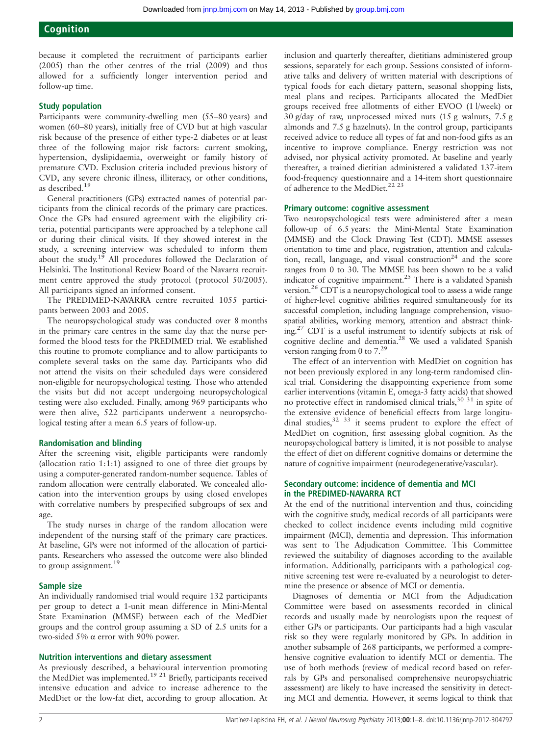because it completed the recruitment of participants earlier (2005) than the other centres of the trial (2009) and thus allowed for a sufficiently longer intervention period and follow-up time.

#### Study population

Participants were community-dwelling men (55–80 years) and women (60–80 years), initially free of CVD but at high vascular risk because of the presence of either type-2 diabetes or at least three of the following major risk factors: current smoking, hypertension, dyslipidaemia, overweight or family history of premature CVD. Exclusion criteria included previous history of CVD, any severe chronic illness, illiteracy, or other conditions, as described.19

General practitioners (GPs) extracted names of potential participants from the clinical records of the primary care practices. Once the GPs had ensured agreement with the eligibility criteria, potential participants were approached by a telephone call or during their clinical visits. If they showed interest in the study, a screening interview was scheduled to inform them about the study.<sup>19</sup> All procedures followed the Declaration of Helsinki. The Institutional Review Board of the Navarra recruitment centre approved the study protocol (protocol 50/2005). All participants signed an informed consent.

The PREDIMED-NAVARRA centre recruited 1055 participants between 2003 and 2005.

The neuropsychological study was conducted over 8 months in the primary care centres in the same day that the nurse performed the blood tests for the PREDIMED trial. We established this routine to promote compliance and to allow participants to complete several tasks on the same day. Participants who did not attend the visits on their scheduled days were considered non-eligible for neuropsychological testing. Those who attended the visits but did not accept undergoing neuropsychological testing were also excluded. Finally, among 969 participants who were then alive, 522 participants underwent a neuropsychological testing after a mean 6.5 years of follow-up.

## Randomisation and blinding

After the screening visit, eligible participants were randomly (allocation ratio 1:1:1) assigned to one of three diet groups by using a computer-generated random-number sequence. Tables of random allocation were centrally elaborated. We concealed allocation into the intervention groups by using closed envelopes with correlative numbers by prespecified subgroups of sex and age.

The study nurses in charge of the random allocation were independent of the nursing staff of the primary care practices. At baseline, GPs were not informed of the allocation of participants. Researchers who assessed the outcome were also blinded to group assignment.<sup>19</sup>

## Sample size

An individually randomised trial would require 132 participants per group to detect a 1-unit mean difference in Mini-Mental State Examination (MMSE) between each of the MedDiet groups and the control group assuming a SD of 2.5 units for a two-sided 5% α error with 90% power.

#### Nutrition interventions and dietary assessment

As previously described, a behavioural intervention promoting the MedDiet was implemented.<sup>19</sup><sup>21</sup> Briefly, participants received intensive education and advice to increase adherence to the MedDiet or the low-fat diet, according to group allocation. At

inclusion and quarterly thereafter, dietitians administered group sessions, separately for each group. Sessions consisted of informative talks and delivery of written material with descriptions of typical foods for each dietary pattern, seasonal shopping lists, meal plans and recipes. Participants allocated the MedDiet groups received free allotments of either EVOO (1 l/week) or 30 g/day of raw, unprocessed mixed nuts (15 g walnuts, 7.5 g almonds and 7.5 g hazelnuts). In the control group, participants received advice to reduce all types of fat and non-food gifts as an incentive to improve compliance. Energy restriction was not advised, nor physical activity promoted. At baseline and yearly thereafter, a trained dietitian administered a validated 137-item food-frequency questionnaire and a 14-item short questionnaire of adherence to the MedDiet.<sup>22 23</sup>

#### Primary outcome: cognitive assessment

Two neuropsychological tests were administered after a mean follow-up of 6.5 years: the Mini-Mental State Examination (MMSE) and the Clock Drawing Test (CDT). MMSE assesses orientation to time and place, registration, attention and calculation, recall, language, and visual construction<sup>24</sup> and the score ranges from 0 to 30. The MMSE has been shown to be a valid indicator of cognitive impairment.<sup>25</sup> There is a validated Spanish version.<sup>26</sup> CDT is a neuropsychological tool to assess a wide range of higher-level cognitive abilities required simultaneously for its successful completion, including language comprehension, visuospatial abilities, working memory, attention and abstract thinking.<sup>27</sup> CDT is a useful instrument to identify subjects at risk of cognitive decline and dementia.28 We used a validated Spanish version ranging from 0 to  $7<sup>29</sup>$ 

The effect of an intervention with MedDiet on cognition has not been previously explored in any long-term randomised clinical trial. Considering the disappointing experience from some earlier interventions (vitamin E, omega-3 fatty acids) that showed no protective effect in randomised clinical trials,<sup>30 31</sup> in spite of the extensive evidence of beneficial effects from large longitudinal studies, $32 \times 33$  it seems prudent to explore the effect of MedDiet on cognition, first assessing global cognition. As the neuropsychological battery is limited, it is not possible to analyse the effect of diet on different cognitive domains or determine the nature of cognitive impairment (neurodegenerative/vascular).

#### Secondary outcome: incidence of dementia and MCI in the PREDIMED-NAVARRA RCT

At the end of the nutritional intervention and thus, coinciding with the cognitive study, medical records of all participants were checked to collect incidence events including mild cognitive impairment (MCI), dementia and depression. This information was sent to The Adjudication Committee. This Committee reviewed the suitability of diagnoses according to the available information. Additionally, participants with a pathological cognitive screening test were re-evaluated by a neurologist to determine the presence or absence of MCI or dementia.

Diagnoses of dementia or MCI from the Adjudication Committee were based on assessments recorded in clinical records and usually made by neurologists upon the request of either GPs or participants. Our participants had a high vascular risk so they were regularly monitored by GPs. In addition in another subsample of 268 participants, we performed a comprehensive cognitive evaluation to identify MCI or dementia. The use of both methods (review of medical record based on referrals by GPs and personalised comprehensive neuropsychiatric assessment) are likely to have increased the sensitivity in detecting MCI and dementia. However, it seems logical to think that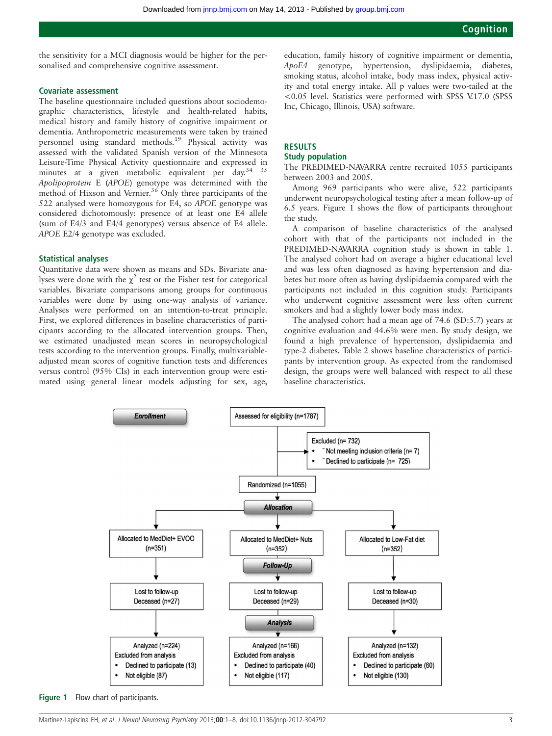the sensitivity for a MCI diagnosis would be higher for the personalised and comprehensive cognitive assessment.

#### Covariate assessment

The baseline questionnaire included questions about sociodemographic characteristics, lifestyle and health-related habits, medical history and family history of cognitive impairment or dementia. Anthropometric measurements were taken by trained personnel using standard methods.<sup>19</sup> Physical activity was assessed with the validated Spanish version of the Minnesota Leisure-Time Physical Activity questionnaire and expressed in minutes at a given metabolic equivalent per day.<sup>34 35</sup> Apolipoprotein E (APOE) genotype was determined with the method of Hixson and Vernier.<sup>36</sup> Only three participants of the 522 analysed were homozygous for E4, so APOE genotype was considered dichotomously: presence of at least one E4 allele (sum of E4/3 and E4/4 genotypes) versus absence of E4 allele. APOE E2/4 genotype was excluded.

#### Statistical analyses

Quantitative data were shown as means and SDs. Bivariate analyses were done with the  $\chi^2$  test or the Fisher test for categorical variables. Bivariate comparisons among groups for continuous variables were done by using one-way analysis of variance. Analyses were performed on an intention-to-treat principle. First, we explored differences in baseline characteristics of participants according to the allocated intervention groups. Then, we estimated unadjusted mean scores in neuropsychological tests according to the intervention groups. Finally, multivariableadjusted mean scores of cognitive function tests and differences versus control (95% CIs) in each intervention group were estimated using general linear models adjusting for sex, age,

education, family history of cognitive impairment or dementia, ApoE4 genotype, hypertension, dyslipidaemia, diabetes, smoking status, alcohol intake, body mass index, physical activity and total energy intake. All p values were two-tailed at the <0.05 level. Statistics were performed with SPSS V.17.0 (SPSS Inc, Chicago, Illinois, USA) software.

# RESULTS

# Study population

The PREDIMED-NAVARRA centre recruited 1055 participants between 2003 and 2005.

Among 969 participants who were alive, 522 participants underwent neuropsychological testing after a mean follow-up of 6.5 years. Figure 1 shows the flow of participants throughout the study.

A comparison of baseline characteristics of the analysed cohort with that of the participants not included in the PREDIMED-NAVARRA cognition study is shown in table 1. The analysed cohort had on average a higher educational level and was less often diagnosed as having hypertension and diabetes but more often as having dyslipidaemia compared with the participants not included in this cognition study. Participants who underwent cognitive assessment were less often current smokers and had a slightly lower body mass index.

The analysed cohort had a mean age of 74.6 (SD:5.7) years at cognitive evaluation and 44.6% were men. By study design, we found a high prevalence of hypertension, dyslipidaemia and type-2 diabetes. Table 2 shows baseline characteristics of participants by intervention group. As expected from the randomised design, the groups were well balanced with respect to all these baseline characteristics.



Figure 1 Flow chart of participants.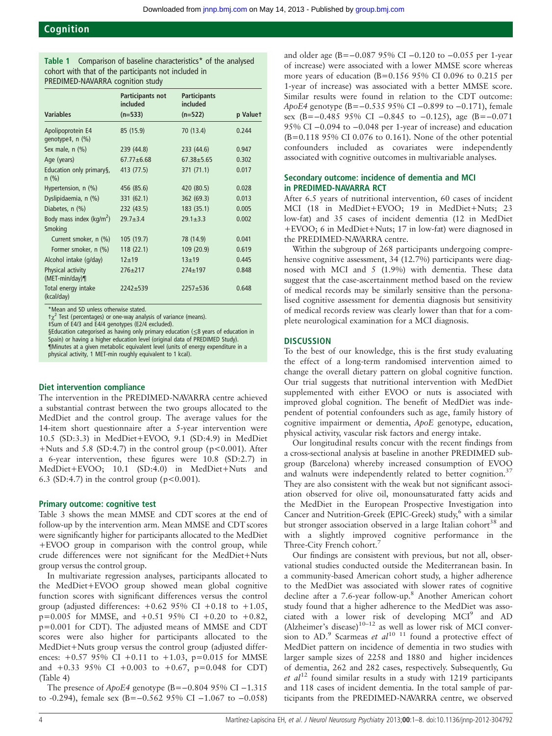Table 1 Comparison of baseline characteristics\* of the analysed cohort with that of the participants not included in PREDIMED-NAVARRA cognition study

|                                       | Participants not<br>included | <b>Participants</b><br>included |          |
|---------------------------------------|------------------------------|---------------------------------|----------|
| <b>Variables</b>                      | $(n=533)$                    | $(n=522)$                       | p Valuet |
| Apolipoprotein E4<br>qenotype‡, n (%) | 85 (15.9)                    | 70 (13.4)                       | 0.244    |
| Sex male, n (%)                       | 239 (44.8)                   | 233 (44.6)                      | 0.947    |
| Age (years)                           | $67.77 + 6.68$               | $67.38 + 5.65$                  | 0.302    |
| Education only primary§,<br>$n$ (%)   | 413 (77.5)                   | 371 (71.1)                      | 0.017    |
| Hypertension, n (%)                   | 456 (85.6)                   | 420 (80.5)                      | 0.028    |
| Dyslipidaemia, n (%)                  | 331 (62.1)                   | 362 (69.3)                      | 0.013    |
| Diabetes, n (%)                       | 232 (43.5)                   | 183 (35.1)                      | 0.005    |
| Body mass index (kg/m <sup>2</sup> )  | $29.7 + 3.4$                 | $29.1 + 3.3$                    | 0.002    |
| Smoking                               |                              |                                 |          |
| Current smoker, n (%)                 | 105(19.7)                    | 78 (14.9)                       | 0.041    |
| Former smoker, n (%)                  | 118(22.1)                    | 109 (20.9)                      | 0.619    |
| Alcohol intake (g/day)                | $12 + 19$                    | $13 + 19$                       | 0.445    |
| Physical activity<br>$(MET-min/day)$  | $276 + 217$                  | $274 + 197$                     | 0.848    |
| Total energy intake<br>(kcal/day)     | $2242 + 539$                 | $2257 + 536$                    | 0.648    |

\*Mean and SD unless otherwise stated.

 $\tau \gamma^2$  Test (percentages) or one-way analysis of variance (means).

‡Sum of E4/3 and E4/4 genotypes (E2/4 excluded).

§Education categorised as having only primary education (≤8 years of education in Spain) or having a higher education level (original data of PREDIMED Study). ¶Minutes at a given metabolic equivalent level (units of energy expenditure in a physical activity, 1 MET-min roughly equivalent to 1 kcal).

#### Diet intervention compliance

The intervention in the PREDIMED-NAVARRA centre achieved a substantial contrast between the two groups allocated to the MedDiet and the control group. The average values for the 14-item short questionnaire after a 5-year intervention were 10.5 (SD:3.3) in MedDiet+EVOO, 9.1 (SD:4.9) in MedDiet  $+$ Nuts and 5.8 (SD:4.7) in the control group (p<0.001). After a 6-year intervention, these figures were 10.8 (SD:2.7) in MedDiet+EVOO; 10.1 (SD:4.0) in MedDiet+Nuts and 6.3 (SD:4.7) in the control group ( $p < 0.001$ ).

#### Primary outcome: cognitive test

Table 3 shows the mean MMSE and CDT scores at the end of follow-up by the intervention arm. Mean MMSE and CDT scores were significantly higher for participants allocated to the MedDiet +EVOO group in comparison with the control group, while crude differences were not significant for the MedDiet+Nuts group versus the control group.

In multivariate regression analyses, participants allocated to the MedDiet+EVOO group showed mean global cognitive function scores with significant differences versus the control group (adjusted differences:  $+0.62$  95% CI  $+0.18$  to  $+1.05$ ,  $p=0.005$  for MMSE, and  $+0.51$  95% CI  $+0.20$  to  $+0.82$ , p=0.001 for CDT). The adjusted means of MMSE and CDT scores were also higher for participants allocated to the MedDiet+Nuts group versus the control group (adjusted differences:  $+0.57$  95% CI  $+0.11$  to  $+1.03$ , p=0.015 for MMSE and  $+0.33$  95% CI  $+0.003$  to  $+0.67$ , p=0.048 for CDT) (Table 4)

The presence of ApoE4 genotype (B=−0.804 95% CI −1.315 to -0.294), female sex (B=−0.562 95% CI −1.067 to −0.058)

and older age (B=−0.087 95% CI −0.120 to −0.055 per 1-year of increase) were associated with a lower MMSE score whereas more years of education  $(B=0.15695\% \text{ CI } 0.096 \text{ to } 0.215 \text{ per}$ 1-year of increase) was associated with a better MMSE score. Similar results were found in relation to the CDT outcome: ApoE4 genotype (B=−0.535 95% CI −0.899 to −0.171), female sex (B=−0.485 95% CI −0.845 to −0.125), age (B=−0.071 95% CI −0.094 to −0.048 per 1-year of increase) and education  $(B=0.118\,95\% \text{ CI } 0.076 \text{ to } 0.161$ . None of the other potential confounders included as covariates were independently associated with cognitive outcomes in multivariable analyses.

# Secondary outcome: incidence of dementia and MCI in PREDIMED-NAVARRA RCT

After 6.5 years of nutritional intervention, 60 cases of incident MCI (18 in MedDiet+EVOO; 19 in MedDiet+Nuts; 23 low-fat) and 35 cases of incident dementia (12 in MedDiet +EVOO; 6 in MedDiet+Nuts; 17 in low-fat) were diagnosed in the PREDIMED-NAVARRA centre.

Within the subgroup of 268 participants undergoing comprehensive cognitive assessment, 34 (12.7%) participants were diagnosed with MCI and 5 (1.9%) with dementia. These data suggest that the case-ascertainment method based on the review of medical records may be similarly sensitive than the personalised cognitive assessment for dementia diagnosis but sensitivity of medical records review was clearly lower than that for a complete neurological examination for a MCI diagnosis.

#### **DISCUSSION**

To the best of our knowledge, this is the first study evaluating the effect of a long-term randomised intervention aimed to change the overall dietary pattern on global cognitive function. Our trial suggests that nutritional intervention with MedDiet supplemented with either EVOO or nuts is associated with improved global cognition. The benefit of MedDiet was independent of potential confounders such as age, family history of cognitive impairment or dementia, ApoE genotype, education, physical activity, vascular risk factors and energy intake.

Our longitudinal results concur with the recent findings from a cross-sectional analysis at baseline in another PREDIMED subgroup (Barcelona) whereby increased consumption of EVOO and walnuts were independently related to better cognition.<sup>37</sup> They are also consistent with the weak but not significant association observed for olive oil, monounsaturated fatty acids and the MedDiet in the European Prospective Investigation into Cancer and Nutrition-Greek (EPIC-Greek) study, $6$  with a similar but stronger association observed in a large Italian cohort<sup>38</sup> and with a slightly improved cognitive performance in the Three-City French cohort.<sup>7</sup>

Our findings are consistent with previous, but not all, observational studies conducted outside the Mediterranean basin. In a community-based American cohort study, a higher adherence to the MedDiet was associated with slower rates of cognitive decline after a 7.6-year follow-up.8 Another American cohort study found that a higher adherence to the MedDiet was associated with a lower risk of developing  $MCI<sup>9</sup>$  and AD (Alzheimer's disease) $10-12$  as well as lower risk of MCI conversion to AD.<sup>9</sup> Scarmeas et  $al^{10}$  <sup>11</sup> found a protective effect of MedDiet pattern on incidence of dementia in two studies with larger sample sizes of 2258 and 1880 and higher incidences of dementia, 262 and 282 cases, respectively. Subsequently, Gu et  $al^{12}$  found similar results in a study with 1219 participants and 118 cases of incident dementia. In the total sample of participants from the PREDIMED-NAVARRA centre, we observed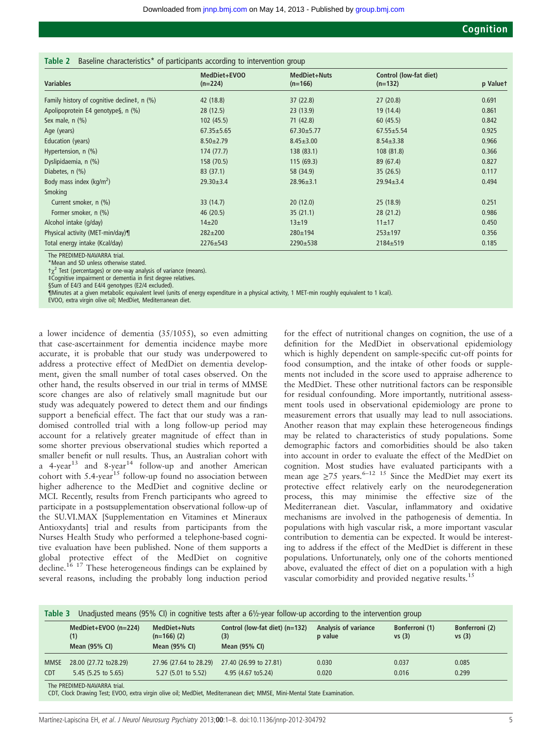|  | Table 2 Baseline characteristics* of participants according to intervention group |  |  |  |  |  |  |  |
|--|-----------------------------------------------------------------------------------|--|--|--|--|--|--|--|
|--|-----------------------------------------------------------------------------------|--|--|--|--|--|--|--|

|                                             | MedDiet+EVOO     | MedDiet+Nuts    | Control (low-fat diet) |          |
|---------------------------------------------|------------------|-----------------|------------------------|----------|
| <b>Variables</b>                            | $(n=224)$        | $(n=166)$       | $(n=132)$              | p Valuet |
| Family history of cognitive decline#, n (%) | 42 (18.8)        | 37(22.8)        | 27(20.8)               | 0.691    |
| Apolipoprotein E4 genotype§, n (%)          | 28(12.5)         | 23(13.9)        | 19(14.4)               | 0.861    |
| Sex male, $n$ $(\%)$                        | 102(45.5)        | 71(42.8)        | 60(45.5)               | 0.842    |
| Age (years)                                 | $67.35 \pm 5.65$ | $67.30 + 5.77$  | $67.55 \pm 5.54$       | 0.925    |
| Education (years)                           | $8.50 \pm 2.79$  | $8.45 \pm 3.00$ | $8.54 \pm 3.38$        | 0.966    |
| Hypertension, n (%)                         | 174(77.7)        | 138(83.1)       | 108 (81.8)             | 0.366    |
| Dyslipidaemia, n (%)                        | 158 (70.5)       | 115(69.3)       | 89 (67.4)              | 0.827    |
| Diabetes, n (%)                             | 83 (37.1)        | 58 (34.9)       | 35(26.5)               | 0.117    |
| Body mass index ( $\text{kg/m}^2$ )         | $29.30 \pm 3.4$  | $28.96 \pm 3.1$ | $29.94 \pm 3.4$        | 0.494    |
| Smoking                                     |                  |                 |                        |          |
| Current smoker, n (%)                       | 33(14.7)         | 20(12.0)        | 25(18.9)               | 0.251    |
| Former smoker, n (%)                        | 46 (20.5)        | 35(21.1)        | 28(21.2)               | 0.986    |
| Alcohol intake (g/day)                      | $14 + 20$        | $13 + 19$       | $11 \pm 17$            | 0.450    |
| Physical activity (MET-min/day)¶            | $282 \pm 200$    | 280±194         | $253 + 197$            | 0.356    |
| Total energy intake (Kcal/day)              | 2276±543         | 2290±538        | $2184 + 519$           | 0.185    |

The PREDIMED-NAVARRA trial. \*Mean and SD unless otherwise stated.

†χ<sup>2</sup> Test (percentages) or one-way analysis of variance (means). ‡Cognitive impairment or dementia in first degree relatives.

§Sum of E4/3 and E4/4 genotypes (E2/4 excluded).

¶Minutes at a given metabolic equivalent level (units of energy expenditure in a physical activity, 1 MET-min roughly equivalent to 1 kcal).

EVOO, extra virgin olive oil; MedDiet, Mediterranean diet.

a lower incidence of dementia (35/1055), so even admitting that case-ascertainment for dementia incidence maybe more accurate, it is probable that our study was underpowered to address a protective effect of MedDiet on dementia development, given the small number of total cases observed. On the other hand, the results observed in our trial in terms of MMSE score changes are also of relatively small magnitude but our study was adequately powered to detect them and our findings support a beneficial effect. The fact that our study was a randomised controlled trial with a long follow-up period may account for a relatively greater magnitude of effect than in some shorter previous observational studies which reported a smaller benefit or null results. Thus, an Australian cohort with a 4-year<sup>13</sup> and 8-year<sup>14</sup> follow-up and another American cohort with  $5.4$ -year<sup>15</sup> follow-up found no association between higher adherence to the MedDiet and cognitive decline or MCI. Recently, results from French participants who agreed to participate in a postsupplementation observational follow-up of the SU.VI.MAX [Supplementation en Vitamines et Mineraux Antioxydants] trial and results from participants from the Nurses Health Study who performed a telephone-based cognitive evaluation have been published. None of them supports a global protective effect of the MedDiet on cognitive decline.<sup>16 17</sup> These heterogeneous findings can be explained by several reasons, including the probably long induction period

for the effect of nutritional changes on cognition, the use of a definition for the MedDiet in observational epidemiology which is highly dependent on sample-specific cut-off points for food consumption, and the intake of other foods or supplements not included in the score used to appraise adherence to the MedDiet. These other nutritional factors can be responsible for residual confounding. More importantly, nutritional assessment tools used in observational epidemiology are prone to measurement errors that usually may lead to null associations. Another reason that may explain these heterogeneous findings may be related to characteristics of study populations. Some demographic factors and comorbidities should be also taken into account in order to evaluate the effect of the MedDiet on cognition. Most studies have evaluated participants with a mean age  $\geq$ 75 years.<sup>6–12</sup><sup>15</sup> Since the MedDiet may exert its protective effect relatively early on the neurodegeneration process, this may minimise the effective size of the Mediterranean diet. Vascular, inflammatory and oxidative mechanisms are involved in the pathogenesis of dementia. In populations with high vascular risk, a more important vascular contribution to dementia can be expected. It would be interesting to address if the effect of the MedDiet is different in these populations. Unfortunately, only one of the cohorts mentioned above, evaluated the effect of diet on a population with a high vascular comorbidity and provided negative results.15

|             | Unadjusted means (95% CI) in cognitive tests after a $6\frac{1}{2}$ -year follow-up according to the intervention group<br>Table 3 |                                                |                                                        |                                        |                         |                         |
|-------------|------------------------------------------------------------------------------------------------------------------------------------|------------------------------------------------|--------------------------------------------------------|----------------------------------------|-------------------------|-------------------------|
|             | MedDiet+EVOO (n=224)<br>(1)<br>Mean (95% CI)                                                                                       | MedDiet+Nuts<br>$(n=166)$ (2)<br>Mean (95% CI) | Control (low-fat diet) (n=132)<br>(3)<br>Mean (95% CI) | <b>Analysis of variance</b><br>p value | Bonferroni (1)<br>vs(3) | Bonferroni (2)<br>vs(3) |
| <b>MMSE</b> | 28.00 (27.72 to 28.29)                                                                                                             | 27.96 (27.64 to 28.29)                         | 27.40 (26.99 to 27.81)                                 | 0.030                                  | 0.037                   | 0.085                   |
| <b>CDT</b>  | 5.45 (5.25 to 5.65)                                                                                                                | 5.27 (5.01 to 5.52)                            | 4.95 (4.67 to 5.24)                                    | 0.020                                  | 0.016                   | 0.299                   |
|             | The PREDIMED-NAVARRA trial                                                                                                         |                                                |                                                        |                                        |                         |                         |

The PREDIMED-NAVARRA trial. CDT, Clock Drawing Test; EVOO, extra virgin olive oil; MedDiet, Mediterranean diet; MMSE, Mini-Mental State Examination.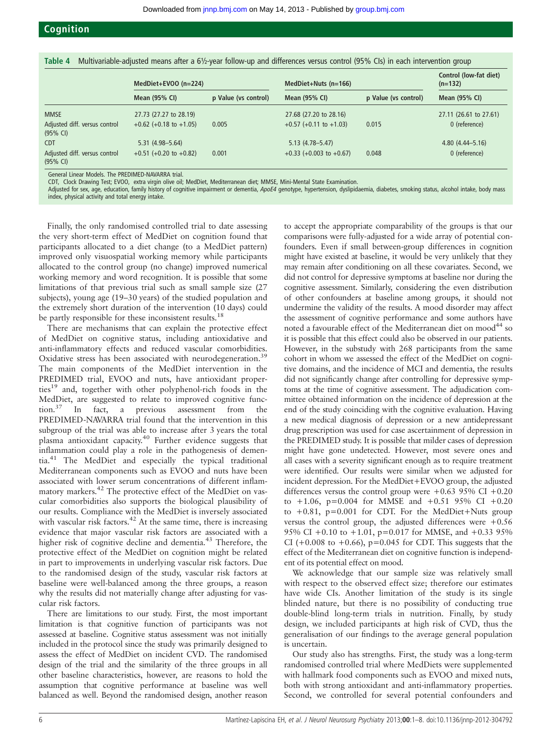|  |  |  | Table 4 Multivariable-adjusted means after a 6½-year follow-up and differences versus control (95% CIs) in each intervention group |  |  |
|--|--|--|------------------------------------------------------------------------------------------------------------------------------------|--|--|
|--|--|--|------------------------------------------------------------------------------------------------------------------------------------|--|--|

|                                                      | MedDiet+EVOO (n=224)     |                      | MedDiet+Nuts (n=166)      | Control (low-fat diet)<br>$(n=132)$ |                        |
|------------------------------------------------------|--------------------------|----------------------|---------------------------|-------------------------------------|------------------------|
|                                                      | Mean (95% CI)            | p Value (vs control) | Mean (95% CI)             | p Value (vs control)                | Mean (95% CI)          |
| <b>MMSE</b>                                          | 27.73 (27.27 to 28.19)   |                      | 27.68 (27.20 to 28.16)    |                                     | 27.11 (26.61 to 27.61) |
| Adjusted diff. versus control<br>(95% CI)            | $+0.62$ (+0.18 to +1.05) | 0.005                | $+0.57$ (+0.11 to +1.03)  | 0.015                               | 0 (reference)          |
| <b>CDT</b>                                           | $5.31(4.98 - 5.64)$      |                      | $5.13(4.78 - 5.47)$       |                                     | $4.80(4.44 - 5.16)$    |
| Adjusted diff. versus control<br>$(95\% \text{ Cl})$ | $+0.51$ (+0.20 to +0.82) | 0.001                | $+0.33 (+0.003 to +0.67)$ | 0.048                               | 0 (reference)          |

General Linear Models. The PREDIMED-NAVARRA trial.

CDT, Clock Drawing Test; EVOO, extra virgin olive oil; MedDiet, Mediterranean diet; MMSE, Mini-Mental State Examination.

Adjusted for sex, age, education, family history of cognitive impairment or dementia, ApoE4 genotype, hypertension, dyslipidaemia, diabetes, smoking status, alcohol intake, body mass index, physical activity and total energy intake.

Finally, the only randomised controlled trial to date assessing the very short-term effect of MedDiet on cognition found that participants allocated to a diet change (to a MedDiet pattern) improved only visuospatial working memory while participants allocated to the control group (no change) improved numerical working memory and word recognition. It is possible that some limitations of that previous trial such as small sample size (27 subjects), young age (19–30 years) of the studied population and the extremely short duration of the intervention (10 days) could be partly responsible for these inconsistent results.<sup>18</sup>

There are mechanisms that can explain the protective effect of MedDiet on cognitive status, including antioxidative and anti-inflammatory effects and reduced vascular comorbidities. Oxidative stress has been associated with neurodegeneration.<sup>39</sup> The main components of the MedDiet intervention in the PREDIMED trial, EVOO and nuts, have antioxidant properties<sup>19</sup> and, together with other polyphenol-rich foods in the MedDiet, are suggested to relate to improved cognitive func-<br>tion.<sup>37</sup> In fact, a previous assessment from the In fact, a previous assessment from the PREDIMED-NAVARRA trial found that the intervention in this subgroup of the trial was able to increase after 3 years the total plasma antioxidant capacity.<sup>40</sup> Further evidence suggests that inflammation could play a role in the pathogenesis of dementia.<sup>41</sup> The MedDiet and especially the typical traditional Mediterranean components such as EVOO and nuts have been associated with lower serum concentrations of different inflammatory markers.<sup>42</sup> The protective effect of the MedDiet on vascular comorbidities also supports the biological plausibility of our results. Compliance with the MedDiet is inversely associated with vascular risk factors.<sup>42</sup> At the same time, there is increasing evidence that major vascular risk factors are associated with a higher risk of cognitive decline and dementia.<sup>43</sup> Therefore, the protective effect of the MedDiet on cognition might be related in part to improvements in underlying vascular risk factors. Due to the randomised design of the study, vascular risk factors at baseline were well-balanced among the three groups, a reason why the results did not materially change after adjusting for vascular risk factors.

There are limitations to our study. First, the most important limitation is that cognitive function of participants was not assessed at baseline. Cognitive status assessment was not initially included in the protocol since the study was primarily designed to assess the effect of MedDiet on incident CVD. The randomised design of the trial and the similarity of the three groups in all other baseline characteristics, however, are reasons to hold the assumption that cognitive performance at baseline was well balanced as well. Beyond the randomised design, another reason

to accept the appropriate comparability of the groups is that our comparisons were fully-adjusted for a wide array of potential confounders. Even if small between-group differences in cognition might have existed at baseline, it would be very unlikely that they may remain after conditioning on all these covariates. Second, we did not control for depressive symptoms at baseline nor during the cognitive assessment. Similarly, considering the even distribution of other confounders at baseline among groups, it should not undermine the validity of the results. A mood disorder may affect the assessment of cognitive performance and some authors have noted a favourable effect of the Mediterranean diet on mood<sup>44</sup> so it is possible that this effect could also be observed in our patients. However, in the substudy with 268 participants from the same cohort in whom we assessed the effect of the MedDiet on cognitive domains, and the incidence of MCI and dementia, the results did not significantly change after controlling for depressive symptoms at the time of cognitive assessment. The adjudication committee obtained information on the incidence of depression at the end of the study coinciding with the cognitive evaluation. Having a new medical diagnosis of depression or a new antidepressant drug prescription was used for case ascertainment of depression in the PREDIMED study. It is possible that milder cases of depression might have gone undetected. However, most severe ones and all cases with a severity significant enough as to require treatment were identified. Our results were similar when we adjusted for incident depression. For the MedDiet+EVOO group, the adjusted differences versus the control group were  $+0.63$  95% CI  $+0.20$ to  $+1.06$ ,  $p=0.004$  for MMSE and  $+0.51$  95% CI  $+0.20$ to +0.81, p=0.001 for CDT. For the MedDiet+Nuts group versus the control group, the adjusted differences were  $+0.56$ 95% CI +0.10 to +1.01, p=0.017 for MMSE, and +0.33 95% CI (+0.008 to +0.66),  $p=0.045$  for CDT. This suggests that the effect of the Mediterranean diet on cognitive function is independent of its potential effect on mood.

We acknowledge that our sample size was relatively small with respect to the observed effect size; therefore our estimates have wide CIs. Another limitation of the study is its single blinded nature, but there is no possibility of conducting true double-blind long-term trials in nutrition. Finally, by study design, we included participants at high risk of CVD, thus the generalisation of our findings to the average general population is uncertain.

Our study also has strengths. First, the study was a long-term randomised controlled trial where MedDiets were supplemented with hallmark food components such as EVOO and mixed nuts, both with strong antioxidant and anti-inflammatory properties. Second, we controlled for several potential confounders and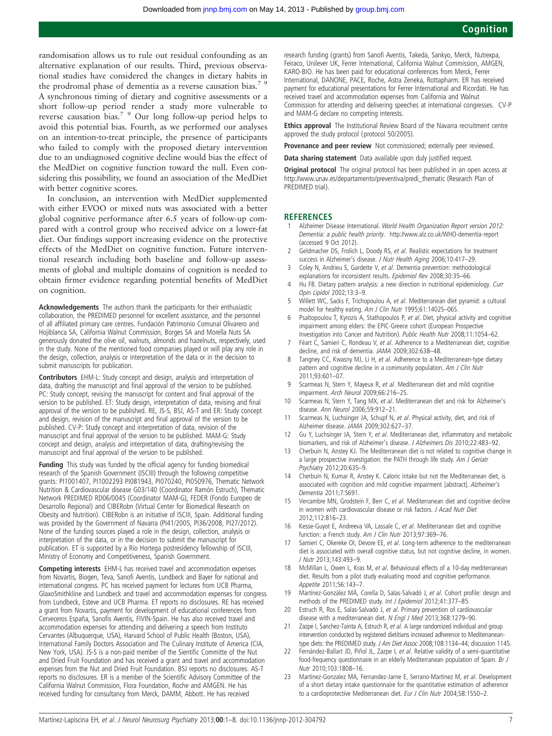randomisation allows us to rule out residual confounding as an alternative explanation of our results. Third, previous observational studies have considered the changes in dietary habits in the prodromal phase of dementia as a reverse causation bias.<sup>7</sup><sup>9</sup> A synchronous timing of dietary and cognitive assessments or a short follow-up period render a study more vulnerable to reverse causation bias.7 9 Our long follow-up period helps to avoid this potential bias. Fourth, as we performed our analyses on an intention-to-treat principle, the presence of participants who failed to comply with the proposed dietary intervention due to an undiagnosed cognitive decline would bias the effect of the MedDiet on cognitive function toward the null. Even considering this possibility, we found an association of the MedDiet with better cognitive scores.

In conclusion, an intervention with MedDiet supplemented with either EVOO or mixed nuts was associated with a better global cognitive performance after 6.5 years of follow-up compared with a control group who received advice on a lower-fat diet. Our findings support increasing evidence on the protective effects of the MedDiet on cognitive function. Future interventional research including both baseline and follow-up assessments of global and multiple domains of cognition is needed to obtain firmer evidence regarding potential benefits of MedDiet on cognition.

Acknowledgements The authors thank the participants for their enthusiastic collaboration, the PREDIMED personnel for excellent assistance, and the personnel of all affiliated primary care centres. Fundación Patrimonio Comunal Olivarero and Hojiblanca SA, California Walnut Commission, Borges SA and Morella Nuts SA generously donated the olive oil, walnuts, almonds and hazelnuts, respectively, used in the study. None of the mentioned food companies played or will play any role in the design, collection, analysis or interpretation of the data or in the decision to submit manuscripts for publication.

Contributors EHM-L: Study concept and design, analysis and interpretation of data, drafting the manuscript and final approval of the version to be published. PC: Study concept, revising the manuscript for content and final approval of the version to be published. ET: Study design, interpretation of data, revising and final approval of the version to be published. RE, JS-S, BSJ, AS-T and ER: Study concept and design, revision of the manuscript and final approval of the version to be published. CV-P: Study concept and interpretation of data, revision of the manuscript and final approval of the version to be published. MAM-G: Study concept and design, analysis and interpretation of data, drafting/revising the manuscript and final approval of the version to be published.

Funding This study was funded by the official agency for funding biomedical research of the Spanish Government (ISCIII) through the following competitive grants: PI1001407, PI1002293 PI081943, PI070240, PI050976, Thematic Network Nutrition & Cardiovascular disease G03/140 (Coordinator Ramón Estruch), Thematic Network PREDIMED RD06/0045 (Coordinator MAM-G), FEDER (Fondo Europeo de Desarrollo Regional) and CIBERobn (Virtual Center for Biomedical Research on Obesity and Nutrition). CIBERobn is an initiative of ISCIII, Spain. Additional funding was provided by the Government of Navarra (PI41/2005, PI36/2008, PI27/2012). None of the funding sources played a role in the design, collection, analysis or interpretation of the data, or in the decision to submit the manuscript for publication. ET is supported by a Rio Hortega postresidency fellowship of ISCIII, Ministry of Economy and Competitiveness, Spanish Government.

Competing interests EHM-L has received travel and accommodation expenses from Novartis, Biogen, Teva, Sanofi Aventis, Lundbeck and Bayer for national and international congress. PC has received payment for lectures from UCB Pharma, GlaxoSmithkline and Lundbeck and travel and accommodation expenses for congress from Lundbeck, Esteve and UCB Pharma. ET reports no disclosures. RE has received a grant from Novartis, payment for development of educational conferences from Cerveceros España, Sanofis Aventis, FIVIN-Spain. He has also received travel and accommodation expenses for attending and delivering a speech from Instituto Cervantes (Albuquerque, USA), Harvard School of Public Health (Boston, USA), International Family Doctors Association and The Culinary Institute of America (CIA, New York, USA). JS-S is a non-paid member of the Sientific Committe of the Nut and Dried Fruit Foundation and has received a grant and travel and accommodation expenses from the Nut and Dried Fruit Foundation. BSJ reports no disclosures. AS-T reports no disclosures. ER is a member of the Scientific Advisory Committee of the California Walnut Commission, Flora Foundation, Roche and AMGEN. He has received funding for consultancy from Merck, DAMM, Abbott. He has received

research funding (grants) from Sanofi Aventis, Takeda, Sankyo, Merck, Nutrexpa, Feiraco, Unilever UK, Ferrer International, California Walnut Commission, AMGEN, KARO-BIO. He has been paid for educational conferences from Merck, Ferrer International, DANONE, PACE, Roche, Astra Zeneka, Rottapharm. ER has received payment for educational presentations for Ferrer International and Ricordati. He has received travel and accommodation expenses from California and Walnut Commission for attending and delivering speeches at international congresses. CV-P and MAM-G declare no competing interests.

Ethics approval The Institutional Review Board of the Navarra recruitment centre approved the study protocol (protocol 50/2005).

Provenance and peer review Not commissioned; externally peer reviewed.

Data sharing statement Data available upon duly justified request.

**Original protocol** The original protocol has been published in an open access at [http://www.unav.es/departamento/preventiva/predi\\_thematic](http://dx.doi.org/10.1136/jnnp-2013-305153) (Research Plan of PREDIMED trial).

#### **REFERENCES**

- 1 Alzheimer Disease International. World Health Organization Report version 2012: Dementia: a public health priority. [http://www.alz.co.uk/WHO-dementia-report](http://www.unav.es/departamento/preventiva/predi_thematic) (accessed 9 Oct 2012).
- 2 Geldmacher DS, Frolich L, Doody RS, et al. Realistic expectations for treatment success in Alzheimer's disease. J Nutr Health Aging 2006;10:417-29.
- 3 Coley N, Andrieu S, Gardette V, et al. Dementia prevention: methodological explanations for inconsistent results. Epidemiol Rev 2008;30:35–66.
- 4 Hu FB. Dietary pattern analysis: a new direction in nutritional epidemiology. Curr Opin Lipidol 2002;13:3–9.
- 5 Willett WC, Sacks F, Trichopoulou A, et al. Mediterranean diet pyramid: a cultural model for healthy eating. Am J Clin Nutr 1995;61:1402S–06S.
- Psaltopoulou T, Kyrozis A, Stathopoulos P, et al. Diet, physical activity and cognitive impairment among elders: the EPIC-Greece cohort (European Prospective Investigation into Cancer and Nutrition). Public Health Nutr 2008;11:1054–62.
- 7 Féart C, Samieri C, Rondeau V, et al. Adherence to a Mediterranean diet, cognitive decline, and risk of dementia. JAMA 2009;302:638–48.
- 8 Tangney CC, Kwasny MJ, Li H, et al. Adherence to a Mediterranean-type dietary pattern and cognitive decline in a community population. Am J Clin Nutr 2011;93:601–07.
- 9 Scarmeas N, Stern Y, Mayeux R, et al. Mediterranean diet and mild cognitive impairment. Arch Neurol 2009;66:216–25.
- 10 Scarmeas N, Stern Y, Tang MX, et al. Mediterranean diet and risk for Alzheimer's disease. Ann Neurol 2006;59:912–21.
- 11 Scarmeas N, Luchsinger JA, Schupf N, et al. Physical activity, diet, and risk of Alzheimer disease. JAMA 2009;302:627–37.
- 12 Gu Y, Luchsinger JA, Stern Y, et al. Mediterranean diet, inflammatory and metabolic biomarkers, and risk of Alzheimer's disease. J Alzheimers Dis 2010;22:483–92.
- 13 Cherbuin N, Anstey KJ. The Mediterranean diet is not related to cognitive change in a large prospective investigation: the PATH through life study. Am J Geriatr Psychiatry 2012;20:635–9.
- 14 Cherbuin N, Kumar R, Anstey K. Caloric intake but not the Mediterranean diet, is associated with cognition and mild cognitive impairment [abstract]. Alzheimer's Dementia 2011;7:S691.
- 15 Vercambre MN, Grodstein F, Berr C, et al. Mediterranean diet and cognitive decline in women with cardiovascular disease or risk factors. J Acad Nutr Diet 2012;112:816–23.
- 16 Kesse-Guyot E, Andreeva VA, Lassale C, et al. Mediterranean diet and cognitive function: a French study. Am J Clin Nutr 2013;97:369–76.
- 17 Samieri C, Okereke OI, Devore EE, et al. Long-term adherence to the mediterranean diet is associated with overall cognitive status, but not cognitive decline, in women. J Nutr 2013;143:493–9.
- 18 McMillan L, Owen L, Kras M, et al. Behavioural effects of a 10-day mediterranean diet. Results from a pilot study evaluating mood and cognitive performance. Appetite 2011;56:143–7.
- 19 Martínez-González MÁ, Corella D, Salas-Salvadó J, et al. Cohort profile: design and methods of the PREDIMED study. Int J Epidemiol 2012;41:377–85.
- 20 Estruch R, Ros E, Salas-Salvadó J, et al. Primary prevention of cardiovascular disease with a mediterranean diet. N Engl J Med 2013;368:1279–90.
- 21 Zazpe I, Sanchez-Tainta A, Estruch R, et al. A large randomized individual and group intervention conducted by registered dietitians increased adherence to Mediterraneantype diets: the PREDIMED study. J Am Diet Assoc 2008;108:1134-44; discussion 1145.
- 22 Fernández-Ballart JD, Piñol JL, Zazpe I, et al. Relative validity of a semi-quantitative food-frequency questionnaire in an elderly Mediterranean population of Spain. Br J Nutr 2010;103:1808–16.
- 23 Martinez-Gonzalez MA, Fernandez-Jarne E, Serrano-Martinez M, et al. Development of a short dietary intake questionnaire for the quantitative estimation of adherence to a cardioprotective Mediterranean diet. Eur J Clin Nutr 2004;58:1550-2.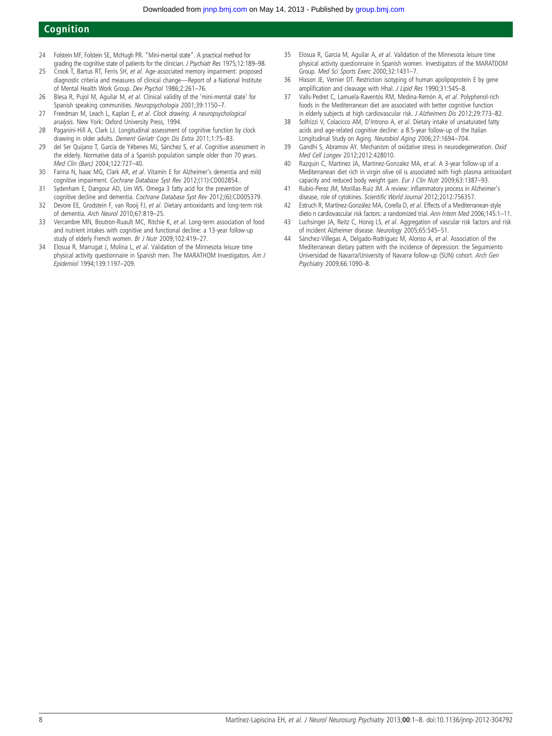# Cognition

- 24 Folstein MF, Folstein SE, McHugh PR. "Mini-mental state". A practical method for grading the cognitive state of patients for the clinician. J Psychiatr Res 1975;12:189-98.
- 25 Crook T, Bartus RT, Ferris SH, et al. Age-associated memory impairment: proposed diagnostic criteria and measures of clinical change—Report of a National Institute of Mental Health Work Group. Dev Psychol 1986;2:261–76.
- 26 Blesa R, Pujol M, Aguilar M, et al. Clinical validity of the 'mini-mental state' for Spanish speaking communities. Neuropsychologia 2001;39:1150–7.
- 27 Freedman M, Leach L, Kaplan E, et al. Clock drawing. A neuropsychological analysis. New York: Oxford University Press, 1994.
- 28 Paganini-Hill A, Clark LJ. Longitudinal assessment of cognitive function by clock drawing in older adults. Dement Geriatr Cogn Dis Extra 2011;1:75–83.
- 29 del Ser Quijano T, García de Yébenes MJ, Sánchez S, et al. Cognitive assessment in the elderly. Normative data of a Spanish population sample older than 70 years. Med Clin (Barc) 2004;122:727–40.
- 30 Farina N, Isaac MG, Clark AR, et al. Vitamin E for Alzheimer's dementia and mild cognitive impairment. Cochrane Database Syst Rev 2012;(11):CD002854..
- 31 Sydenham E, Dangour AD, Lim WS. Omega 3 fatty acid for the prevention of cognitive decline and dementia. Cochrane Database Syst Rev 2012;(6):CD005379.
- 32 Devore EE, Grodstein F, van Rooij FJ, et al. Dietary antioxidants and long-term risk of dementia. Arch Neurol 2010;67:819–25.
- 33 Vercambre MN, Boutron-Ruault MC, Ritchie K, et al. Long-term association of food and nutrient intakes with cognitive and functional decline: a 13-year follow-up study of elderly French women. Br J Nutr 2009;102:419–27.
- 34 Elosua R, Marrugat J, Molina L, et al. Validation of the Minnesota leisure time physical activity questionnaire in Spanish men. The MARATHOM Investigators. Am J Epidemiol 1994;139:1197–209.
- 35 Elosua R, Garcia M, Aguilar A, et al. Validation of the Minnesota leisure time physical activity questionnaire in Spanish women. Investigators of the MARATDOM Group. Med Sci Sports Exerc 2000;32:1431–7.
- 36 Hixson JE, Vernier DT. Restriction isotyping of human apolipoprotein E by gene amplification and cleavage with Hhal. J Lipid Res 1990;31:545–8.
- 37 Valls-Pedret C, Lamuela-Raventós RM, Medina-Remón A, et al. Polyphenol-rich foods in the Mediterranean diet are associated with better cognitive function in elderly subjects at high cardiovascular risk. J Alzheimers Dis 2012;29:773–82.
- 38 Solfrizzi V, Colacicco AM, D'Introno A, et al. Dietary intake of unsaturated fatty acids and age-related cognitive decline: a 8.5-year follow-up of the Italian Longitudinal Study on Aging. Neurobiol Aging 2006;27:1694–704.
- 39 Gandhi S, Abramov AY. Mechanism of oxidative stress in neurodegeneration. Oxid Med Cell Longev 2012;2012:428010.
- 40 Razquin C, Martinez JA, Martinez-Gonzalez MA, et al. A 3-year follow-up of a Mediterranean diet rich in virgin olive oil is associated with high plasma antioxidant capacity and reduced body weight gain. Eur J Clin Nutr 2009;63:1387-93.
- 41 Rubio-Perez JM, Morillas-Ruiz JM. A review: inflammatory process in Alzheimer's disease, role of cytokines. Scientific World Journal 2012;2012:756357.
- 42 Estruch R, Martínez-González MA, Corella D, et al. Effects of a Mediterranean-style dieto n cardiovascular risk factors: a randomized trial. Ann Intern Med 2006;145:1-11.
- 43 Luchsinger JA, Reitz C, Honig LS, et al. Aggregation of vascular risk factors and risk of incident Alzheimer disease. Neurology 2005;65:545–51.
- 44 Sánchez-Villegas A, Delgado-Rodríguez M, Alonso A, et al. Association of the Mediterranean dietary pattern with the incidence of depression: the Seguimiento Universidad de Navarra/University of Navarra follow-up (SUN) cohort. Arch Gen Psychiatry 2009;66:1090–8.